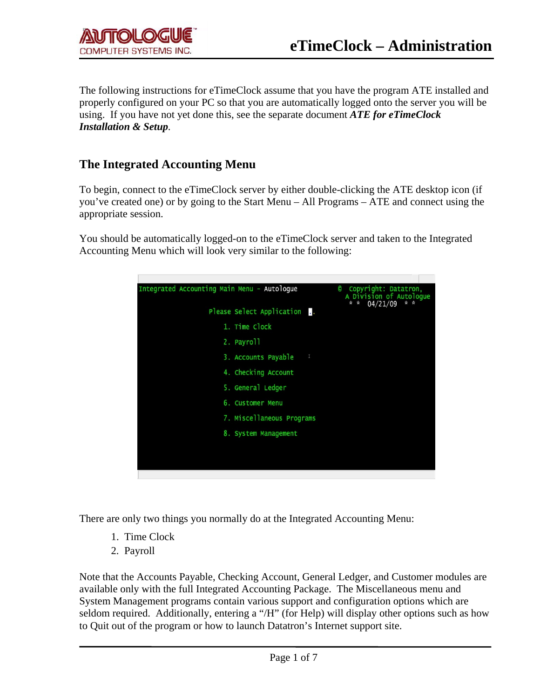The following instructions for eTimeClock assume that you have the program ATE installed and properly configured on your PC so that you are automatically logged onto the server you will be using. If you have not yet done this, see the separate document *ATE for eTimeClock Installation & Setup.*

## **The Integrated Accounting Menu**

To begin, connect to the eTimeClock server by either double-clicking the ATE desktop icon (if you've created one) or by going to the Start Menu – All Programs – ATE and connect using the appropriate session.

You should be automatically logged-on to the eTimeClock server and taken to the Integrated Accounting Menu which will look very similar to the following:



There are only two things you normally do at the Integrated Accounting Menu:

- 1. Time Clock
- 2. Payroll

Note that the Accounts Payable, Checking Account, General Ledger, and Customer modules are available only with the full Integrated Accounting Package. The Miscellaneous menu and System Management programs contain various support and configuration options which are seldom required. Additionally, entering a "/H" (for Help) will display other options such as how to Quit out of the program or how to launch Datatron's Internet support site.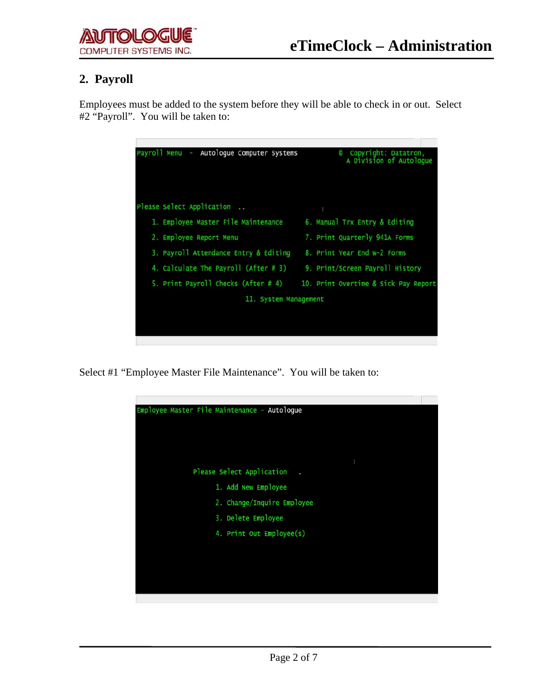## **2. Payroll**

Employees must be added to the system before they will be able to check in or out. Select #2 "Payroll". You will be taken to:

| Autologue Computer Systems<br>Payroll Menu<br>۰. | Copyright: Datatron,<br>0<br>A Division of Autologue |
|--------------------------------------------------|------------------------------------------------------|
| Please Select Application                        | T                                                    |
| 1. Employee Master File Maintenance              | 6. Manual Trx Entry & Editing                        |
| 2. Employee Report Menu                          | 7. Print Quarterly 941A Forms                        |
| 3. Payroll Attendance Entry & Editing            | 8. Print Year End W-2 Forms                          |
| 4. Calculate The Payroll (After # 3)             | 9. Print/Screen Payroll History                      |
| 5. Print Payroll Checks (After #4)               | 10. Print Overtime & Sick Pay Report                 |
|                                                  | 11. System Management                                |
|                                                  |                                                      |
|                                                  |                                                      |
|                                                  |                                                      |

Select #1 "Employee Master File Maintenance". You will be taken to:

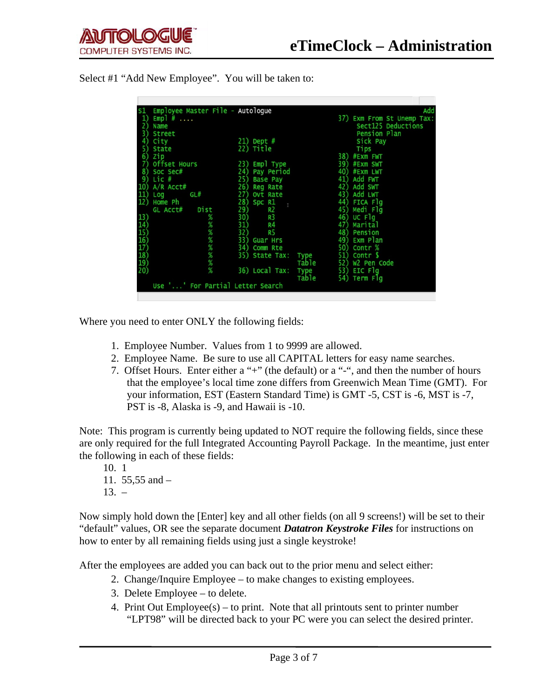| S1<br>1)<br>Empl $#$ | Employee Master File - Autologue |       | 37) Exm From St Unemp T |
|----------------------|----------------------------------|-------|-------------------------|
| 2)<br>Name           |                                  |       | Sect125 Deductions      |
| 31<br>Street         |                                  |       | Pension Plan            |
| City<br>41           | $21)$ Dept #                     |       | Sick Pay                |
| 51<br>State          | 22) Title                        |       |                         |
|                      |                                  |       | Tips                    |
| 6)<br>Zip            |                                  |       | 38) #Exm FWT            |
| 71<br>Offset Hours   | 23) Empl Type                    |       | 39) #Exm SWT            |
| 8)<br>Soc Sec#       | 24) Pay Period                   |       | 40) #Exm LWT            |
| 9)<br>Lic #          | 25)<br>Base Pay                  |       | 41) Add FWT             |
| 10) A/R Acct#        | 26) Reg Rate                     |       | 42) Add SWT             |
| 11)<br>GL#<br>Log    | 27) Ovt Rate                     |       | 43) Add LWT             |
| 12)<br>Home Ph       | 28)<br>Spc R1                    |       | 44) FICA Flg            |
| Dist<br>GL Acct#     | 29)<br>R <sub>2</sub>            |       | 45) Medi Flg            |
| 13)                  | %<br>30)<br>R <sub>3</sub>       |       | 46) UC Flg              |
|                      | %<br>R <sub>4</sub><br>31)       | 47)   | Marital                 |
| $\frac{14}{15}$      | %<br>32)<br>R5                   |       | 48) Pension             |
| $\frac{16}{17}$      | ℅<br>33) Guar Hrs                |       | 49) Exm Plan            |
|                      | %<br>34) Comm Rte                |       | 50) Contr %             |
| 18)                  | %<br>35) State Tax:              | Type  | 51) Contr \$            |
| 19)                  | %                                | Table | 52) W2 Pen Code         |
| 20)                  | %<br>36) Local Tax:              | Type  | 53) EIC Flg             |
|                      |                                  | Table | 54) Term Flq            |

Select #1 "Add New Employee". You will be taken to:

Where you need to enter ONLY the following fields:

- 1. Employee Number. Values from 1 to 9999 are allowed.
- 2. Employee Name. Be sure to use all CAPITAL letters for easy name searches.
- 7. Offset Hours. Enter either a "+" (the default) or a "-", and then the number of hours that the employee's local time zone differs from Greenwich Mean Time (GMT). For your information, EST (Eastern Standard Time) is GMT -5, CST is -6, MST is -7, PST is -8, Alaska is -9, and Hawaii is -10.

Note: This program is currently being updated to NOT require the following fields, since these are only required for the full Integrated Accounting Payroll Package. In the meantime, just enter the following in each of these fields:

 10. 1 11. 55,55 and –  $13. -$ 

Now simply hold down the [Enter] key and all other fields (on all 9 screens!) will be set to their "default" values, OR see the separate document *Datatron Keystroke Files* for instructions on how to enter by all remaining fields using just a single keystroke!

After the employees are added you can back out to the prior menu and select either:

- 2. Change/Inquire Employee to make changes to existing employees.
- 3. Delete Employee to delete.
- 4. Print Out Employee(s) to print. Note that all printouts sent to printer number "LPT98" will be directed back to your PC were you can select the desired printer.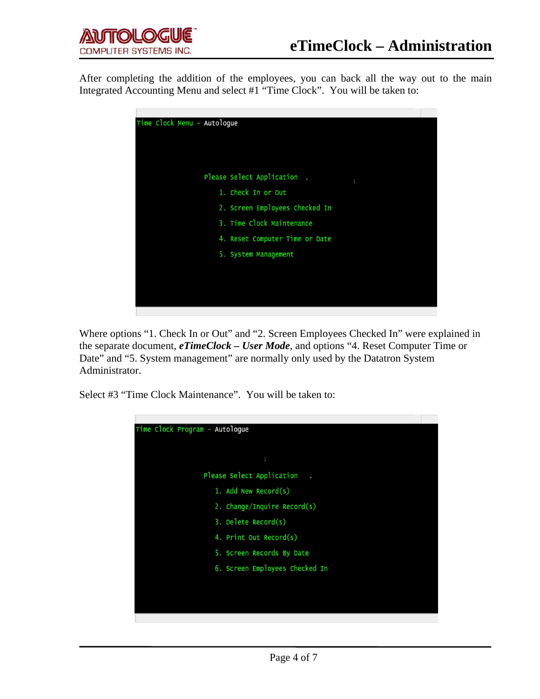After completing the addition of the employees, you can back all the way out to the main Integrated Accounting Menu and select #1 "Time Clock". You will be taken to:



Where options "1. Check In or Out" and "2. Screen Employees Checked In" were explained in the separate document, *eTimeClock – User Mode*, and options "4. Reset Computer Time or Date" and "5. System management" are normally only used by the Datatron System Administrator.

Select #3 "Time Clock Maintenance". You will be taken to:

| Time Clock Program - Autologue |  |
|--------------------------------|--|
|                                |  |
| I                              |  |
| Please Select Application      |  |
| 1. Add New Record(s)           |  |
| 2. Change/Inquire Record(s)    |  |
| 3. Delete Record(s)            |  |
| 4. Print Out Record(s)         |  |
| 5. Screen Records By Date      |  |
| 6. Screen Employees Checked In |  |
|                                |  |
|                                |  |
|                                |  |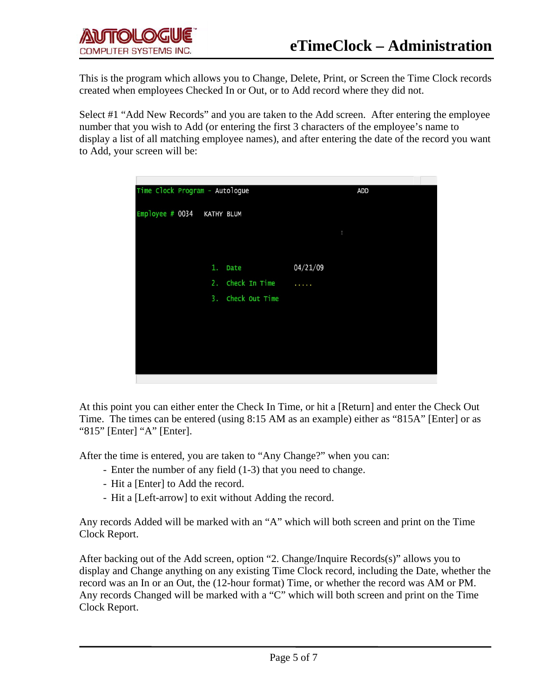This is the program which allows you to Change, Delete, Print, or Screen the Time Clock records created when employees Checked In or Out, or to Add record where they did not.

Select #1 "Add New Records" and you are taken to the Add screen. After entering the employee number that you wish to Add (or entering the first 3 characters of the employee's name to display a list of all matching employee names), and after entering the date of the record you want to Add, your screen will be:



At this point you can either enter the Check In Time, or hit a [Return] and enter the Check Out Time. The times can be entered (using 8:15 AM as an example) either as "815A" [Enter] or as "815" [Enter] "A" [Enter].

After the time is entered, you are taken to "Any Change?" when you can:

- Enter the number of any field (1-3) that you need to change.
- Hit a [Enter] to Add the record.
- Hit a [Left-arrow] to exit without Adding the record.

Any records Added will be marked with an "A" which will both screen and print on the Time Clock Report.

After backing out of the Add screen, option "2. Change/Inquire Records(s)" allows you to display and Change anything on any existing Time Clock record, including the Date, whether the record was an In or an Out, the (12-hour format) Time, or whether the record was AM or PM. Any records Changed will be marked with a "C" which will both screen and print on the Time Clock Report.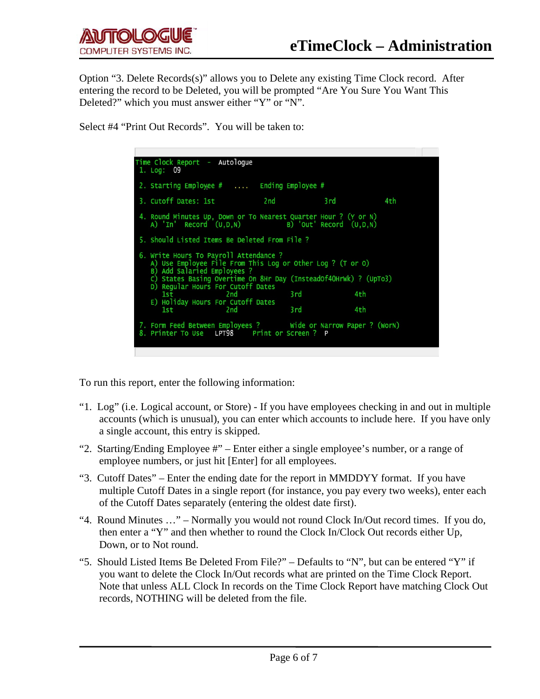Option "3. Delete Records(s)" allows you to Delete any existing Time Clock record. After entering the record to be Deleted, you will be prompted "Are You Sure You Want This Deleted?" which you must answer either "Y" or "N".

Select #4 "Print Out Records". You will be taken to:

| Time Clock Report - Autologue<br>1. Log: 09                                                                                                                                                                                                  |      |     |     |
|----------------------------------------------------------------------------------------------------------------------------------------------------------------------------------------------------------------------------------------------|------|-----|-----|
| 2. Starting Employee $#$ Ending Employee $#$                                                                                                                                                                                                 |      |     |     |
|                                                                                                                                                                                                                                              |      |     | 4th |
| 4. Round Minutes Up, Down or To Nearest Quarter Hour ? (Y or N)<br>A) 'In' Record (U,D,N) B) 'Out' Record (U,D,N)                                                                                                                            |      |     |     |
| 5. Should Listed Items Be Deleted From File ?                                                                                                                                                                                                |      |     |     |
| 6. Write Hours To Payroll Attendance ?<br>A) Use Employee File From This Log or Other Log ? (T or O)<br>B) Add Salaried Employees ?<br>C) States Basing Overtime On 8Hr Day (InsteadOf4OHrWk) ? (UpTo3)<br>D) Regular Hours For Cutoff Dates |      |     |     |
| 1st 2nd                                                                                                                                                                                                                                      | 3 rd |     | 4th |
| E) Holiday Hours For Cutoff Dates<br>1st 2nd                                                                                                                                                                                                 | 3 rd | 4th |     |
| 7. Form Feed Between Employees ? Wide or Narrow Paper ? (WorN)<br>8. Printer To Use LPT98 Print or Screen ? P                                                                                                                                |      |     |     |

To run this report, enter the following information:

- "1. Log" (i.e. Logical account, or Store) If you have employees checking in and out in multiple accounts (which is unusual), you can enter which accounts to include here. If you have only a single account, this entry is skipped.
- "2. Starting/Ending Employee #" Enter either a single employee's number, or a range of employee numbers, or just hit [Enter] for all employees.
- "3. Cutoff Dates" Enter the ending date for the report in MMDDYY format. If you have multiple Cutoff Dates in a single report (for instance, you pay every two weeks), enter each of the Cutoff Dates separately (entering the oldest date first).
- "4. Round Minutes …" Normally you would not round Clock In/Out record times. If you do, then enter a "Y" and then whether to round the Clock In/Clock Out records either Up, Down, or to Not round.
- "5. Should Listed Items Be Deleted From File?" Defaults to "N", but can be entered "Y" if you want to delete the Clock In/Out records what are printed on the Time Clock Report. Note that unless ALL Clock In records on the Time Clock Report have matching Clock Out records, NOTHING will be deleted from the file.